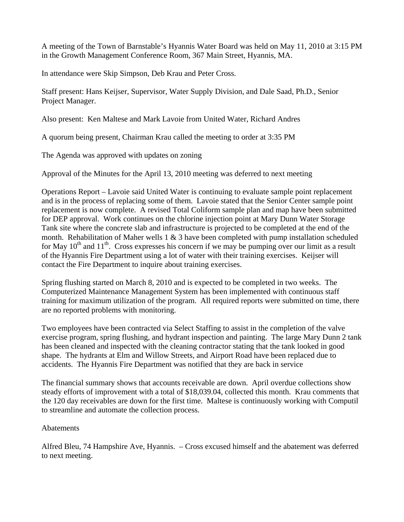A meeting of the Town of Barnstable's Hyannis Water Board was held on May 11, 2010 at 3:15 PM in the Growth Management Conference Room, 367 Main Street, Hyannis, MA.

In attendance were Skip Simpson, Deb Krau and Peter Cross.

Staff present: Hans Keijser, Supervisor, Water Supply Division, and Dale Saad, Ph.D., Senior Project Manager.

Also present: Ken Maltese and Mark Lavoie from United Water, Richard Andres

A quorum being present, Chairman Krau called the meeting to order at 3:35 PM

The Agenda was approved with updates on zoning

Approval of the Minutes for the April 13, 2010 meeting was deferred to next meeting

Operations Report – Lavoie said United Water is continuing to evaluate sample point replacement and is in the process of replacing some of them. Lavoie stated that the Senior Center sample point replacement is now complete. A revised Total Coliform sample plan and map have been submitted for DEP approval. Work continues on the chlorine injection point at Mary Dunn Water Storage Tank site where the concrete slab and infrastructure is projected to be completed at the end of the month. Rehabilitation of Maher wells  $1 \& 3$  have been completed with pump installation scheduled for May  $10^{th}$  and  $11^{th}$ . Cross expresses his concern if we may be pumping over our limit as a result of the Hyannis Fire Department using a lot of water with their training exercises. Keijser will contact the Fire Department to inquire about training exercises.

Spring flushing started on March 8, 2010 and is expected to be completed in two weeks. The Computerized Maintenance Management System has been implemented with continuous staff training for maximum utilization of the program. All required reports were submitted on time, there are no reported problems with monitoring.

Two employees have been contracted via Select Staffing to assist in the completion of the valve exercise program, spring flushing, and hydrant inspection and painting. The large Mary Dunn 2 tank has been cleaned and inspected with the cleaning contractor stating that the tank looked in good shape. The hydrants at Elm and Willow Streets, and Airport Road have been replaced due to accidents. The Hyannis Fire Department was notified that they are back in service

The financial summary shows that accounts receivable are down. April overdue collections show steady efforts of improvement with a total of \$18,039.04, collected this month. Krau comments that the 120 day receivables are down for the first time. Maltese is continuously working with Computil to streamline and automate the collection process.

## **Abatements**

Alfred Bleu, 74 Hampshire Ave, Hyannis. – Cross excused himself and the abatement was deferred to next meeting.